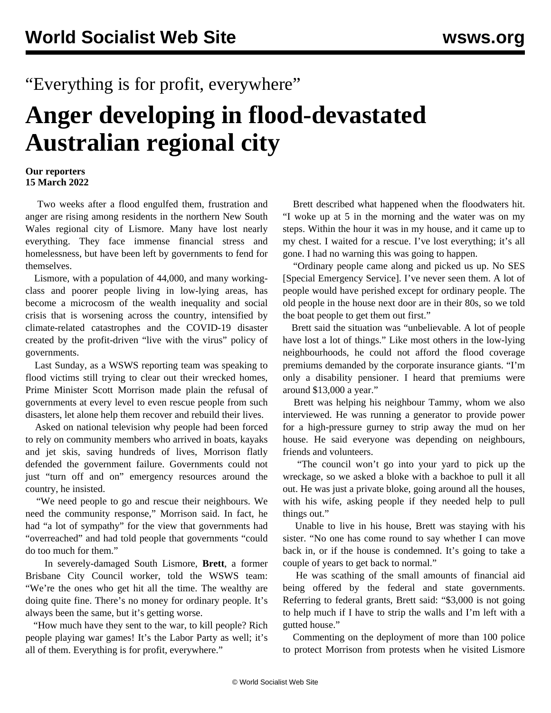## "Everything is for profit, everywhere"

## **Anger developing in flood-devastated Australian regional city**

## **Our reporters 15 March 2022**

 Two weeks after a flood engulfed them, frustration and anger are rising among residents in the northern New South Wales regional city of Lismore. Many have lost nearly everything. They face immense financial stress and homelessness, but have been left by governments to fend for themselves.

 Lismore, with a population of 44,000, and many workingclass and poorer people living in low-lying areas, has become a microcosm of the wealth inequality and social crisis that is worsening across the country, intensified by climate-related catastrophes and the COVID-19 disaster created by the profit-driven "live with the virus" policy of governments.

 Last Sunday, as a WSWS reporting team was speaking to flood victims still trying to clear out their wrecked homes, Prime Minister Scott Morrison made plain the refusal of governments at every level to even rescue people from such disasters, let alone help them recover and rebuild their lives.

 Asked on national television why people had been forced to rely on community members who arrived in boats, kayaks and jet skis, saving hundreds of lives, Morrison flatly defended the government failure. Governments could not just "turn off and on" emergency resources around the country, he insisted.

 "We need people to go and rescue their neighbours. We need the community response," Morrison said. In fact, he had "a lot of sympathy" for the view that governments had "overreached" and had told people that governments "could do too much for them."

 In severely-damaged South Lismore, **Brett**, a former Brisbane City Council worker, told the WSWS team: "We're the ones who get hit all the time. The wealthy are doing quite fine. There's no money for ordinary people. It's always been the same, but it's getting worse.

 "How much have they sent to the war, to kill people? Rich people playing war games! It's the Labor Party as well; it's all of them. Everything is for profit, everywhere."

 Brett described what happened when the floodwaters hit. "I woke up at 5 in the morning and the water was on my steps. Within the hour it was in my house, and it came up to my chest. I waited for a rescue. I've lost everything; it's all gone. I had no warning this was going to happen.

 "Ordinary people came along and picked us up. No SES [Special Emergency Service]. I've never seen them. A lot of people would have perished except for ordinary people. The old people in the house next door are in their 80s, so we told the boat people to get them out first."

 Brett said the situation was "unbelievable. A lot of people have lost a lot of things." Like most others in the low-lying neighbourhoods, he could not afford the flood coverage premiums demanded by the corporate insurance giants. "I'm only a disability pensioner. I heard that premiums were around \$13,000 a year."

 Brett was helping his neighbour [Tammy,](/en/articles/2022/03/14/lism-m14.html) whom we also interviewed. He was running a generator to provide power for a high-pressure gurney to strip away the mud on her house. He said everyone was depending on neighbours, friends and volunteers.

 "The council won't go into your yard to pick up the wreckage, so we asked a bloke with a backhoe to pull it all out. He was just a private bloke, going around all the houses, with his wife, asking people if they needed help to pull things out."

 Unable to live in his house, Brett was staying with his sister. "No one has come round to say whether I can move back in, or if the house is condemned. It's going to take a couple of years to get back to normal."

 He was scathing of the small amounts of financial aid being offered by the federal and state governments. Referring to federal grants, Brett said: "\$3,000 is not going to help much if I have to strip the walls and I'm left with a gutted house."

 Commenting on the deployment of more than 100 police to protect Morrison from protests when he visited Lismore